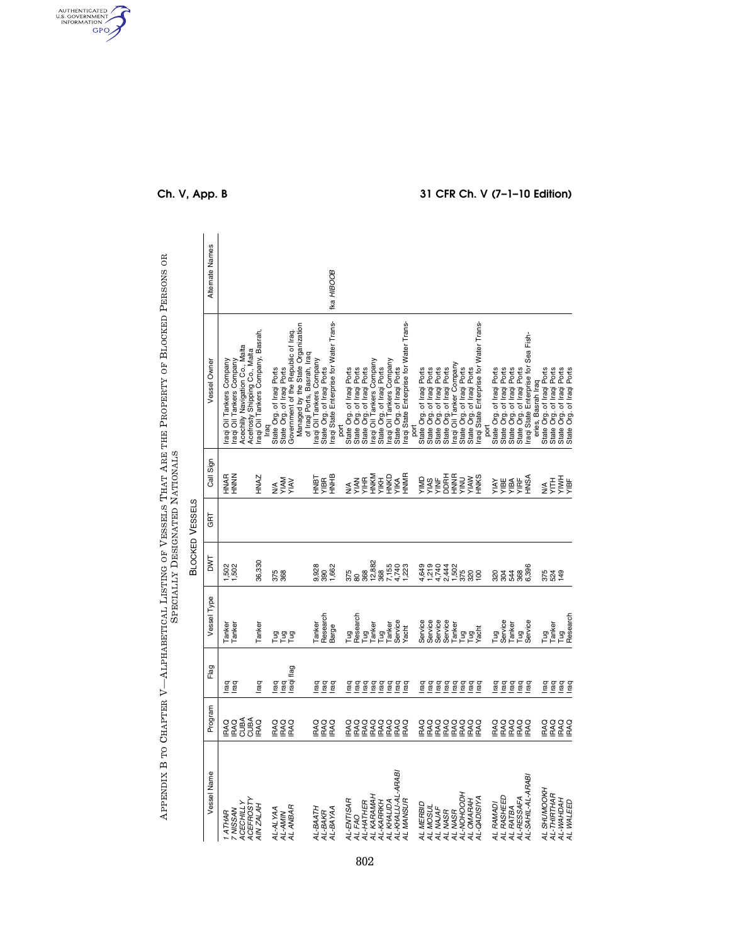|                                                             |                              |                                                                                                                                                                                                                                                                                                                                                                 |                             |                       |                        | SPECIALLY DESIGNATED NATIONALS              | APPENDIX B TO CHAPTER V—ALPHABETICAL LISTING OF VESSELS THAT ARE THE PROPERTY OF BLOCKED PERSONS OR                                       |                 |
|-------------------------------------------------------------|------------------------------|-----------------------------------------------------------------------------------------------------------------------------------------------------------------------------------------------------------------------------------------------------------------------------------------------------------------------------------------------------------------|-----------------------------|-----------------------|------------------------|---------------------------------------------|-------------------------------------------------------------------------------------------------------------------------------------------|-----------------|
|                                                             |                              |                                                                                                                                                                                                                                                                                                                                                                 |                             |                       | <b>BLOCKED VESSELS</b> |                                             |                                                                                                                                           |                 |
| Vessel Name                                                 | Program                      | Flag                                                                                                                                                                                                                                                                                                                                                            | Vessel Type                 | DWT                   | GRT                    | Call Sign                                   | Vessel Owner                                                                                                                              | Alternate Names |
| <b>ACEFROSTY</b><br><b>ACECHILLY</b><br>1 ATHAR<br>7 NISSAN | CUBA<br>CUBA<br>IRAQ<br>IRAQ | leg<br>I                                                                                                                                                                                                                                                                                                                                                        | Tanker<br>Tanker            | 1,502<br>1,502        |                        | HNAR<br>HNNN                                | Acechilly Navigation Co., Malta<br>Acefrosty Shipping Co., Malta<br>raqi Oil Tankers Company<br>raqi Oil Tankers Company                  |                 |
| AIN ZALAH                                                   | RAQ                          | raq                                                                                                                                                                                                                                                                                                                                                             | Tanker                      | 36,330                |                        | HNAZ                                        | raqi Oil Tankers Company, Basrah,                                                                                                         |                 |
| AL-AMIN<br>AL ANBAR<br>AL-ALYAA                             | ERSO<br>RAQO<br>RAQO         | raqi flag<br>lraq<br>raq                                                                                                                                                                                                                                                                                                                                        | e e e<br>F                  | 375<br>368            |                        | <b>VIAM</b><br><b>VAIV</b><br>$\frac{4}{2}$ | Managed by the State Organization<br>Government of the Republic of Iraq.<br>State Org. of Iraqi Ports<br>State Org. of Iraqi Ports<br>raq |                 |
| AL-BAATH<br>AL-BAKR<br>AL-BAYAA                             | ERSO<br>EXPO                 | raq<br>raq<br>raq                                                                                                                                                                                                                                                                                                                                               | Research<br>Tanker<br>Barge | 9,928<br>390<br>1,662 |                        | <b>HNHB</b><br>TaNH<br>YIBR                 | raqi State Enterprise for Water Trans-<br>of Iraqi Ports, Basrah, Iraq<br>raqi Oil Tankers Company<br>State Org. of Iraqi Ports           | fka HIBOOB      |
| AL-ENTISAR                                                  | RAQ                          |                                                                                                                                                                                                                                                                                                                                                                 | Tug                         | 375                   |                        | $\frac{1}{2}$                               | State Org. of Iraqi Ports<br>port                                                                                                         |                 |
| AL-HATHER<br>AL FAO                                         | IRAQ<br>IRAQ                 | $\underbrace{\overline{\texttt{e}} \ \overline{\texttt{e}} \ \overline{\texttt{e}} \ \overline{\texttt{e}} \ \overline{\texttt{e}} \ \overline{\texttt{e}} \ \overline{\texttt{e}} \ \overline{\texttt{e}}}{\texttt{e}}$                                                                                                                                        | Research                    | 88<br>368             |                        | <b>AHIA</b><br>YIAN                         | State Org. of Iraqi Ports<br>State Org. of Iraqi Ports                                                                                    |                 |
| AL KARAMAH                                                  | <b>PAQ</b>                   |                                                                                                                                                                                                                                                                                                                                                                 | Tug<br>Tanker               | 12,882                |                        | HNKM                                        | Iraqi Oil Tankers Company                                                                                                                 |                 |
| AL KHALIDA<br>AL-KARRKH                                     | RAQ                          |                                                                                                                                                                                                                                                                                                                                                                 | Tug<br>Tanker               | 7,155<br>368          |                        | HNKD<br>YIKH                                | State Org. of Iraqi Ports<br>Iraqi Oil Tankers Company                                                                                    |                 |
| AL-KHALIJ-AL-ARABI                                          | <b>EXA<br/>EXA</b><br>EXA    |                                                                                                                                                                                                                                                                                                                                                                 | Service                     | 4,740<br>1,223        |                        | YIKA<br>HNMR                                | State Org. of Iraqi Ports                                                                                                                 |                 |
| AL MANSUR                                                   |                              |                                                                                                                                                                                                                                                                                                                                                                 | Yacht                       |                       |                        |                                             | raqi State Enterprise for Water Trans-                                                                                                    |                 |
| AL MERBID<br>AL MOSUL                                       | <b>RAQ</b>                   | $\underbrace{\overline{\texttt{e}} \ \overline{\texttt{e}} \ \overline{\texttt{e}} \ \overline{\texttt{e}} \ \overline{\texttt{e}} \ \overline{\texttt{e}} \ \overline{\texttt{e}} \ \overline{\texttt{e}}}{\texttt{e}}$                                                                                                                                        | Service<br>Service          | 4,649<br>1,219        |                        | VIMD<br>YIAS                                | State Org. of Iraqi Ports<br>port                                                                                                         |                 |
| AL NAJAF                                                    | IRAQ<br>IRAQ                 |                                                                                                                                                                                                                                                                                                                                                                 | Service                     | 4,740                 |                        | <b>YINF</b>                                 |                                                                                                                                           |                 |
| AL NASR                                                     | IRAQ<br>IRAQ                 |                                                                                                                                                                                                                                                                                                                                                                 | Service                     | 2,444<br>1,502        |                        | <b>DDRH</b>                                 | State Org. of Iraqi Ports<br>State Org. of Iraqi Ports<br>State Org. of Iraqi Ports<br>Iraqi Oil Tanker Company                           |                 |
| AL-NOHOODH<br>AL MASR                                       |                              |                                                                                                                                                                                                                                                                                                                                                                 | Tanker                      | 375                   |                        | <b>HNNR</b><br><b>NIIX</b>                  | State Org. of Iraqi Ports                                                                                                                 |                 |
| AL OMARAH                                                   | <b>EXE</b><br>EXEC           |                                                                                                                                                                                                                                                                                                                                                                 | ng<br>Pagt<br>Yag           | 320                   |                        | <b>YIAW</b><br>HNKS                         | State Org. of Iraqi Ports<br>Iraqi State Enterprise for Water Trans-                                                                      |                 |
| AL-QADISIYA                                                 |                              |                                                                                                                                                                                                                                                                                                                                                                 |                             |                       |                        |                                             | <b>Tio</b>                                                                                                                                |                 |
| AL RAMADI                                                   | <b>RAQ</b>                   |                                                                                                                                                                                                                                                                                                                                                                 | Tug                         |                       |                        | <b>AVIA</b>                                 | State Org. of Iraqi Ports                                                                                                                 |                 |
| AL RASHEED                                                  | RAQ                          |                                                                                                                                                                                                                                                                                                                                                                 | Service                     | 884<br>884            |                        | YIBE                                        | State Org. of Iraqi Ports<br>State Org. of Iraqi Ports                                                                                    |                 |
| AL RATBA<br>AL-RESSAFA                                      | <b>IRAQ</b>                  |                                                                                                                                                                                                                                                                                                                                                                 | Tanker                      |                       |                        | YIBA                                        |                                                                                                                                           |                 |
| AL-SAHIL-AL-ARABI                                           | IRAQ<br>IRAQ                 | $rac{a}{\sqrt{2}}$ $rac{a}{\sqrt{2}}$ $rac{a}{\sqrt{2}}$ $rac{a}{\sqrt{2}}$ $rac{a}{\sqrt{2}}$ $rac{a}{\sqrt{2}}$ $rac{a}{\sqrt{2}}$ $rac{a}{\sqrt{2}}$ $rac{a}{\sqrt{2}}$ $rac{a}{\sqrt{2}}$ $rac{a}{\sqrt{2}}$ $rac{a}{\sqrt{2}}$ $rac{a}{\sqrt{2}}$ $rac{a}{\sqrt{2}}$ $rac{a}{\sqrt{2}}$ $rac{a}{\sqrt{2}}$ $rac{a}{\sqrt{2}}$ $rac{a}{\sqrt{2}}$ $rac{a}{$ | Tug<br>Service              | 6,396<br>368          |                        | ASNF<br>YIRF                                | State Org. of Iraqi Ports<br>Iraqi State Enterprise for Sea Fish-                                                                         |                 |
|                                                             |                              |                                                                                                                                                                                                                                                                                                                                                                 |                             |                       |                        |                                             | eries, Basrah Iraq                                                                                                                        |                 |
| AL SHUMOOKH<br>AL-THIRTHAR                                  | <b>ERSO</b><br>RAQQ          | lrag<br>Iraq                                                                                                                                                                                                                                                                                                                                                    | Tanker<br>Гug               | 824<br>524<br>149     |                        | HIL<br>$\frac{1}{2}$                        | State Org. of Iraqi Ports                                                                                                                 |                 |
| AL-WAHDAH                                                   |                              | lrag<br>I                                                                                                                                                                                                                                                                                                                                                       | Tug<br>Research             |                       |                        | <b>HMA</b>                                  | State Org. of Iraqi Ports<br>State Org. of Iraqi Ports<br>State Org. of Iraqi Ports                                                       |                 |
| AL WALEED                                                   | <b>IRAQ</b>                  |                                                                                                                                                                                                                                                                                                                                                                 |                             |                       |                        | YIBF                                        |                                                                                                                                           |                 |

AUTHENTICATED

## **Ch. V, App. B 31 CFR Ch. V (7–1–10 Edition)**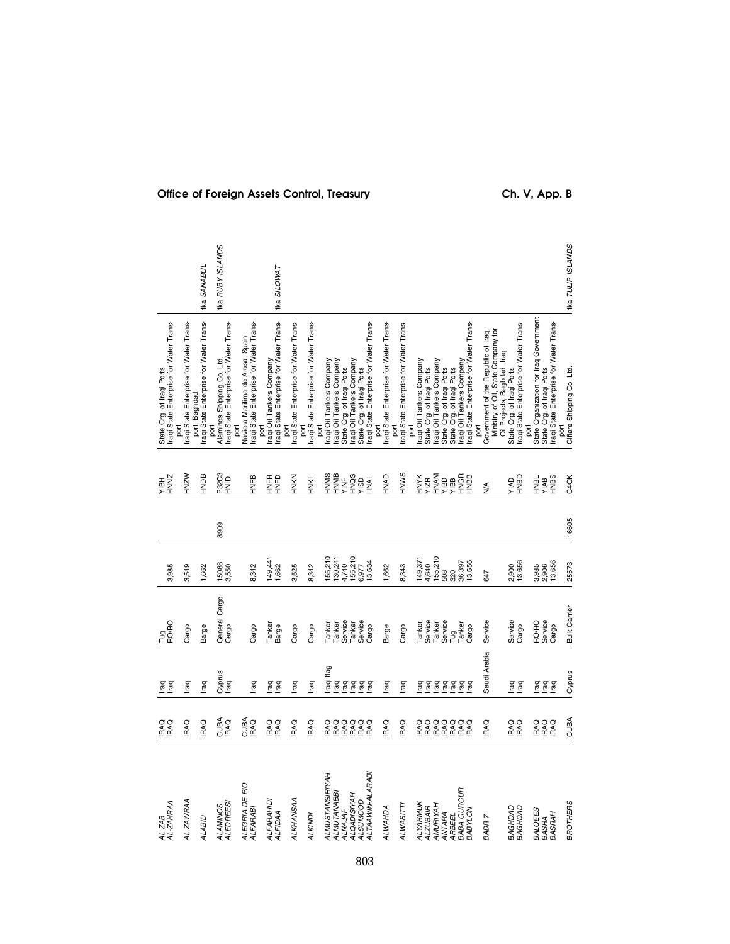| AL ZAB<br>AL-ZAHRAA                          | <b>IRAQ</b><br>EXQ | lea<br>Isa                          | Tug<br>RO/RO           | 3,985              |       | ZNNH<br>HBLX            | raqi State Enterprise for Water Trans-<br>State Org. of Iraqi Ports        |                         |
|----------------------------------------------|--------------------|-------------------------------------|------------------------|--------------------|-------|-------------------------|----------------------------------------------------------------------------|-------------------------|
| AL ZAWRAA                                    | <b>IRAQ</b>        | lraq                                | Cargo                  | 3,549              |       | HNZW                    | raqi State Enterprise for Water Trans-                                     |                         |
| <b>ALABID</b>                                | <b>IRAQ</b>        | lraq                                | Barge                  | 1,662              |       | HNDB                    | raqi State Enterprise for Water Trans-<br>port, Baghdad                    | fka SANABUL             |
| ALEDREES!<br>ALAMINOS                        | CUBA<br>IRAQ       | Cyprus<br>Iraq                      | General Cargo<br>Cargo | 15088<br>3,550     | 8909  | P32C3<br>HNID           | raqi State Enterprise for Water Trans-<br>Alaminos Shipping Co. Ltd.       | <b>Ika RUBY ISLANDS</b> |
| ALEGRIA DE PIO<br>ALFARABI                   | CUBA<br>IRAQ       | lraq                                | Cargo                  | 8,342              |       | HNFB                    | raqi State Enterprise for Water Trans-<br>Naviera Maritima de Arosa, Spain |                         |
| ALFARAHIDI<br><b>ALFIDAA</b>                 | IRAQ<br>IRAQ       | lead<br>Lead                        | Tanker<br>Barge        | 149,441<br>1,662   |       | <b>HNFD</b><br>HNFD     | raqi State Enterprise for Water Trans-<br>Iraqi Oil Tankers Company        | fka SILOWAT             |
| ALKHANSAA                                    | <b>IRAQ</b>        | <b>Iraq</b>                         | Cargo                  | 3,525              |       | <b>HNKN</b>             | Iraqi State Enterprise for Water Trans-                                    |                         |
| <b>ALKINDI</b>                               | <b>IRAQ</b>        | lraq                                | Cargo                  | 8,342              |       | HNKI                    | Iraqi State Enterprise for Water Trans-<br>port                            |                         |
| <b>ALMUSTANSIRIYAH</b><br><b>ALMUTANABBI</b> | IRAQ<br>KAQ        | Iraqi flag                          | Tanker<br>Tanker       | 155,210<br>130,241 |       | HNMS<br>HNMB            | raqi Oil Tankers Company<br>raqi Oil Tankers Company                       |                         |
| ALNAJAF                                      | IRAQ<br>IRAQ       | lraq<br>raq                         | Service                | 4,740              |       | YINF                    | State Org. of Iraqi Ports                                                  |                         |
| <b>ALQADISIYAH</b><br><b>ALSUMOOD</b>        | PAQ                | Iraq                                | Service<br>Tanker      | 155,210<br>6,977   |       | OSCH<br>AISD            | Iraqi Oil Tankers Company<br>State Org. of Iraqi Ports                     |                         |
| ALTAAWIN-ALARABI                             | RAQ                | raq<br>Iraq                         | Cargo                  | 13,634             |       | <b>NAI</b>              | raqi State Enterprise for Water Trans-                                     |                         |
| ALWAHDA                                      | RAQ                | <b>Iraq</b>                         | Barge                  | 1,662              |       | HNAD                    | Iraqi State Enterprise for Water Trans-<br>port                            |                         |
| ALWASITTI                                    | <b>IRAQ</b>        | Iraq                                | Cargo                  | 8,343              |       | HNWS                    | raqi State Enterprise for Water Trans-<br>port                             |                         |
| <b>ALYARMUK</b>                              | <b>RAQ</b>         | raq                                 | Tanker                 | 149,371            |       |                         | raqi Oil Tankers Company<br>port                                           |                         |
| <b>ALZUBAIR</b>                              | IRAQ<br>IRAQ       | raq                                 | Service                | 4,640              |       | <b>HNYK</b><br>YIZR     | State Org. of Iraqi Ports                                                  |                         |
| AMURIYAH<br>ANTARA                           | PAQ                | lraq                                | Service<br>Tanker      | 155,210<br>508     |       | HNAM                    | raqi Oil Tankers Company<br>State Org. of Iraqi Ports                      |                         |
| ARBEEL                                       | RAQ                | lrag<br>Iraq                        |                        | 320                |       | <b>BBIA</b>             | State Org. of Iraqi Ports                                                  |                         |
| <b>BABA GURGUR</b>                           | PAQ                | lrag<br>Irag                        | Tug<br>Tanker          | 36,397             |       | HNGR<br>HNBB            | raqi Oil Tankers Company                                                   |                         |
| <b>BABYLON</b>                               | <b>RAQ</b>         |                                     | Cargo                  | 13,656             |       |                         | Iraqi State Enterprise for Water Trans-<br>port                            |                         |
| BADR 7                                       | PAQ                | Saudi Arabia                        | Service                | 647                |       | $\frac{1}{2}$           | Ministry of Oil, State Company for<br>Government of the Republic of Iraq,  |                         |
|                                              |                    |                                     |                        |                    |       |                         | Oil Projects, Baghdad, Iraq                                                |                         |
| BAGHDAD                                      | PAQ                | Iraq                                | Service                | 2,900              |       | <b>CIAI</b>             | State Org. of Iraqi Ports                                                  |                         |
| BAGHDAD                                      | <b>RAQ</b>         | lraq                                | Cargo                  | 13,656             |       | HNBD                    | raqi State Enterprise for Water Trans-<br>port                             |                         |
| <b>BALQEES</b>                               | PAQ                |                                     | <b>RO/RO</b>           | 3,985              |       |                         | State Organization for Iraq Government                                     |                         |
| BASRAH<br><b>BASRA</b>                       | <b>IRAQ</b><br>PAQ | $rac{6}{2}$ $rac{6}{2}$ $rac{6}{2}$ | Service<br>Cargo       | 13,656<br>2,906    |       | S<br>BRIX<br>HAB<br>HAB | State Org. of Iraqi Ports<br>Iraqi State Enterprise for Water Trans-       |                         |
| <b>BROTHERS</b>                              | <b>CUBA</b>        | Cyprus                              | <b>Bulk Carrier</b>    | 25573              | 16605 | C4QK                    | Ciflare Shipping Co. Ltd.                                                  | tka TULIP ISLANDS       |

# Office of Foreign Assets Control, Treasury **Ch. V, App. B**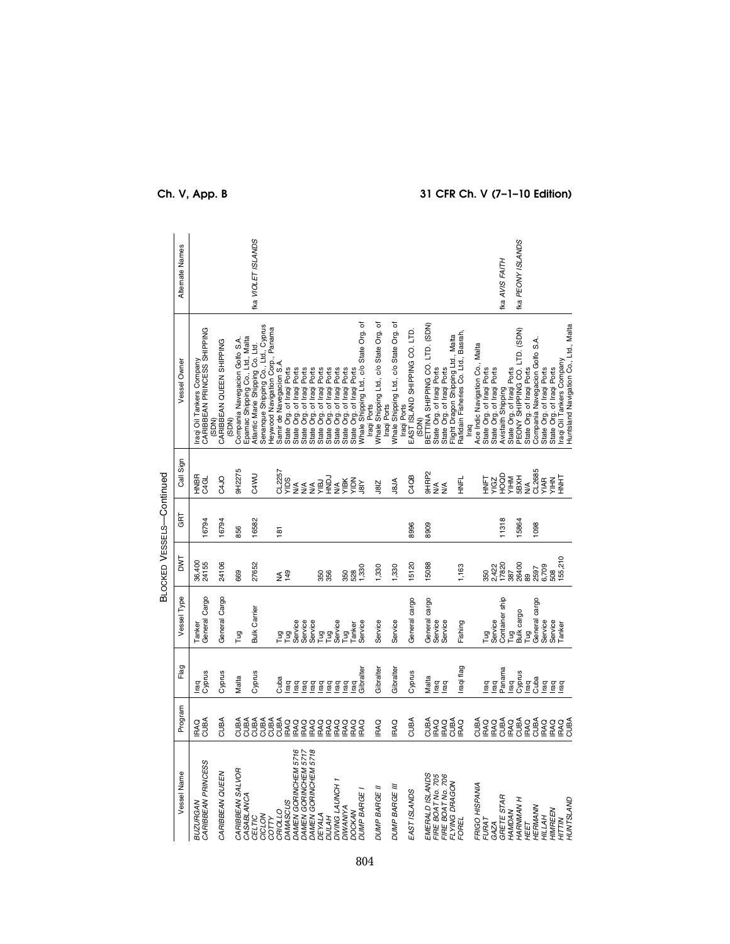|                                              |                                  |                   |                         | BLOCKED VESSELS-Continued |       |                          |                                                                                                                                                 |                           |
|----------------------------------------------|----------------------------------|-------------------|-------------------------|---------------------------|-------|--------------------------|-------------------------------------------------------------------------------------------------------------------------------------------------|---------------------------|
| Vessel Name                                  | Program                          | Flag              | Vessel Type             | <b>DWT</b>                | GRT   | Call Sign                | Vessel Owner                                                                                                                                    | Alternate Names           |
| CARIBBEAN PRINCESS<br><b>BUZURGAN</b>        | IRAQ<br>CUBA                     | Cyprus<br>lraq    | General Cargo<br>Tanker | 36,400<br>24155           | 16794 | HNBR<br>C <sub>4GL</sub> | CARIBBEAN PRINCESS SHIPPING<br>raqi Oil Tankers Company<br>(SDN)                                                                                |                           |
| CARIBBEAN QUEEN                              | <b>CUBA</b>                      | Cyprus            | General Cargo           | 24106                     | 16794 | C4JO                     | CARIBBEAN QUEEN SHIPPING<br>(SDN)                                                                                                               |                           |
| CARIBBEAN SALVOR<br>CASABLANCA               | CUBA<br>CUBA                     | Malta             | Tug                     | 669                       | 856   | 9H2275                   | Compania Navegacion Golfo S.A.                                                                                                                  |                           |
| CICLON<br><b>CELTIC</b><br>COTTY             | CUBA<br>CUBA<br>CUBA             | Cyprus            | <b>Bulk Carrier</b>     | 27652                     | 16582 | <b>C4WU</b>              | Senanque Shipping Co., Ltd., Cyprus<br>Heywood Navigation Corp., Panama<br>Epamac Shipping Co., Ltd., Malta<br>Atlantic Marie Shipping Co. Ltd. | <b>Ika VIOLET ISLANDS</b> |
| <b>CRIOLLO</b>                               | CUBA                             | Cuba              | Tug                     | $rac{4}{5}$               | 181   | CL2257                   | Samir de Navegacion S.A.                                                                                                                        |                           |
| DAMEN GORINCHEM 5716<br><b>DAMASCUS</b>      | RAQ<br>PAQ                       | raq<br>raq        | Service<br>Γug          |                           |       | <b>Saly</b>              | State Org. of Iraqi Ports<br>State Org. of Iraqi Ports                                                                                          |                           |
| DAMEN GORINCHEM 5718<br>DAMEN GORINCHEM 5717 | <b>RAQ</b><br>PAQ                | raq<br>lraq       | Service<br>Service      |                           |       | ≨≦<br>≩≨≨                | State Org. of Iraqi Ports<br>State Org. of Iraqi Ports                                                                                          |                           |
| DEYALA                                       | PAQ                              | raq               | gn                      |                           |       | УIBJ                     | State Org. of Iraqi Ports                                                                                                                       |                           |
| <b>DIJLAH</b>                                | PAQ                              | raq               | Tug<br>Service          | 356                       |       | <b>CONH</b>              | State Org. of Iraqi Ports                                                                                                                       |                           |
| DIVING LAUNCH                                | RAQ                              | raq               |                         |                           |       | $\frac{4}{2}$            | State Org. of Iraqi Ports                                                                                                                       |                           |
| <b>DIWANIYA</b><br><b>DOCKAN</b>             |                                  | raq               | Tug                     | 350<br>528                |       | NON<br>YIBK              | State Org. of Iraqi Ports                                                                                                                       |                           |
| DUMP BARGE                                   | <b>RACO</b><br>RACO              | Gibralter<br>l'aq | Tanker<br>Service       | 1,330                     |       | 18N                      | Whale Shipping Ltd., c/o State Org. of<br>State Org. of Iraqi Ports                                                                             |                           |
| DUMP BARGE II                                | <b>IRAQ</b>                      | Gibralter         | Service                 | 1,330                     |       | J8IZ                     | Iraqi Ports                                                                                                                                     |                           |
|                                              |                                  |                   |                         |                           |       |                          | Whale Shipping Ltd., c/o State Org. of<br>Iraqi Ports                                                                                           |                           |
| DUMP BARGE III                               | <b>IRAQ</b>                      | Gibralter         | Service                 | 1,330                     |       | <b>ALBL</b>              | Whale Shipping Ltd., c/o State Org. of                                                                                                          |                           |
| EAST ISLANDS                                 | CUBA                             | Cyprus            | General cargo           | 15120                     | 8996  | C4QB                     | EAST ISLAND SHIPPING CO. LTD.<br>Iragi Ports                                                                                                    |                           |
| EMERALD ISLANDS                              | CUBA                             | Malta             | General cargo           | 15088                     | 8909  | 9HRP2                    | BETTINA SHIPPING CO. LTD. (SDN)<br>(SDN)                                                                                                        |                           |
| FIRE BOAT No. 705<br>FIRE BOAT No. 706       |                                  | raq               | Service                 |                           |       | ≸≨                       | State Org. of Iraqi Ports                                                                                                                       |                           |
|                                              |                                  | raq               | Service                 |                           |       |                          | State Org. of Iraqi Ports                                                                                                                       |                           |
| FLYING DRAGON<br>FOREL                       | <b>ARSA</b><br><b>SAR</b><br>BEC | raqi flag         | Fishing                 | 1,163                     |       | HNFL                     | Rafidain Fisheries Co. Ltd., Basrah,<br>Flight Dragon Shipping Ltd., Malta                                                                      |                           |
| FRIGO HISPANIA                               | CUBA                             |                   |                         |                           |       |                          | Ace Indic Navigation Co., Malta                                                                                                                 |                           |
| <b>FURAT</b>                                 | IRAQ<br>IRAQ                     | raq               | Γug                     | 350                       |       | <b>TANH</b>              | State Org. of Iraqi Ports                                                                                                                       |                           |
| GAZA                                         |                                  | raq               | Service                 | 2,422<br>17820<br>387     |       | YIGZ                     | State Org. of Iraqi Ports                                                                                                                       |                           |
| GRETE STAR<br><b>HAMDAN</b>                  | CUBA                             | Panama            | Container ship          |                           | 11318 | <b>MHA</b><br>AHM        | Avisfaith Shipping                                                                                                                              | ka AVIS FAITH             |
| <b>HARNMAN H</b>                             | CUBA<br>RAQ                      | Cyprus<br>rag     | Bulk cargo<br>Γщ        | 26400                     | 15864 | 5BXH                     | State Org. of Iraqi Ports<br>PEONY SHIPPING CO. LTD. (SDN)                                                                                      | <b>Ika PEONY ISLANDS</b>  |
| <b>HEET</b>                                  | <b>IRAQ</b>                      | raq               | Γug                     | 89                        |       | $\frac{4}{2}$            | State Org. of Iraqi Ports                                                                                                                       |                           |
| HERMANN                                      | CUBA                             | Cuba              | General cargo           | 2597                      | 1098  | <b>CL2685</b><br>YIAR    | Compania Navegacion Golfo S.A.                                                                                                                  |                           |
| <b>HILLAH</b>                                | <b>IRAQ</b>                      | raq               | Service                 | 6,709<br>508              |       |                          | State Org. of Iraqi Ports                                                                                                                       |                           |
| HIMREEN<br><b>HITTIN</b>                     | <b>IRAQ</b><br>IRAQ              | raq<br>raq        | Service<br>Tanker       | 55,210                    |       | <b>HNHT</b><br>NHIA      | raqi Oil Tankers Company<br>State Org. of Iraqi Ports                                                                                           |                           |
| HUNTSLAND                                    | CUBA                             |                   |                         |                           |       |                          | Huntsland Navigation Co., Ltd., Malta                                                                                                           |                           |

# **Ch. V, App. B 31 CFR Ch. V (7–1–10 Edition)**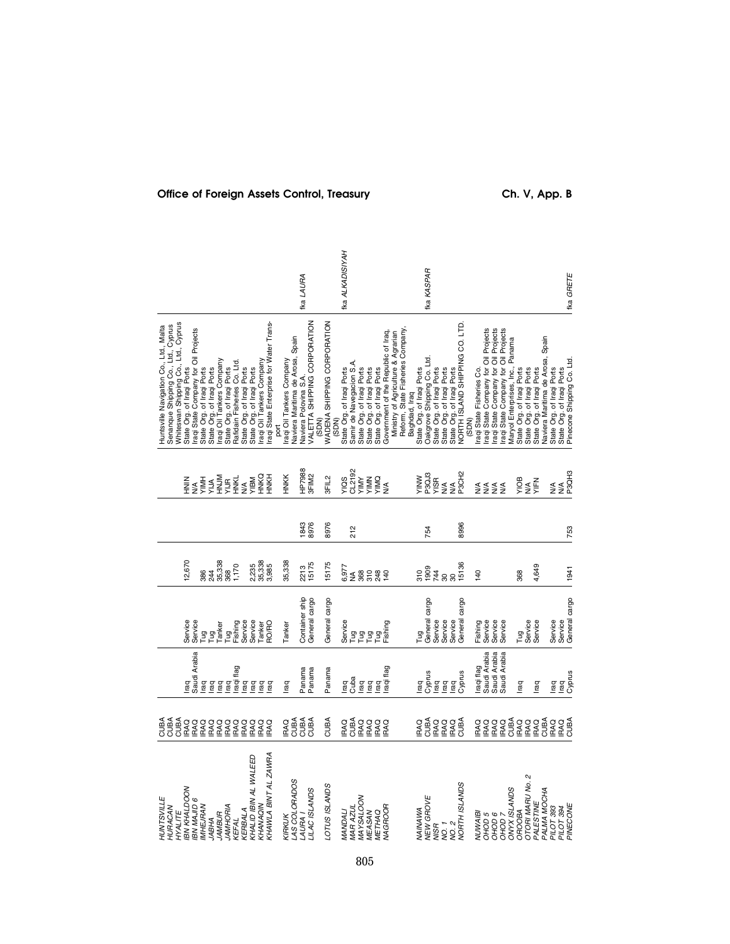| Service<br>Service<br>Tug<br>Fishing<br>Ta<br>Paker<br>Taiker<br>Saudi Arabia<br>raqi flag<br>raq<br>raq<br>raq<br>raq<br>raq<br>raq |
|--------------------------------------------------------------------------------------------------------------------------------------|
| Service<br>Service<br>OHO<br>Tanker                                                                                                  |
| Container ship<br>General cargo<br>Tanker                                                                                            |
| General cargo                                                                                                                        |
| Service<br>e a a<br>F                                                                                                                |
| Tug<br>Fishing                                                                                                                       |
| General cargo<br>Service<br>Service<br>Tug                                                                                           |
| General cargo<br>Service                                                                                                             |
| Service<br>Fishing                                                                                                                   |
| Service<br>Service                                                                                                                   |
| Service<br>Fug                                                                                                                       |
| Service                                                                                                                              |
| General cargo<br>Service<br>Service                                                                                                  |

# Office of Foreign Assets Control, Treasury **Ch. V, App. B**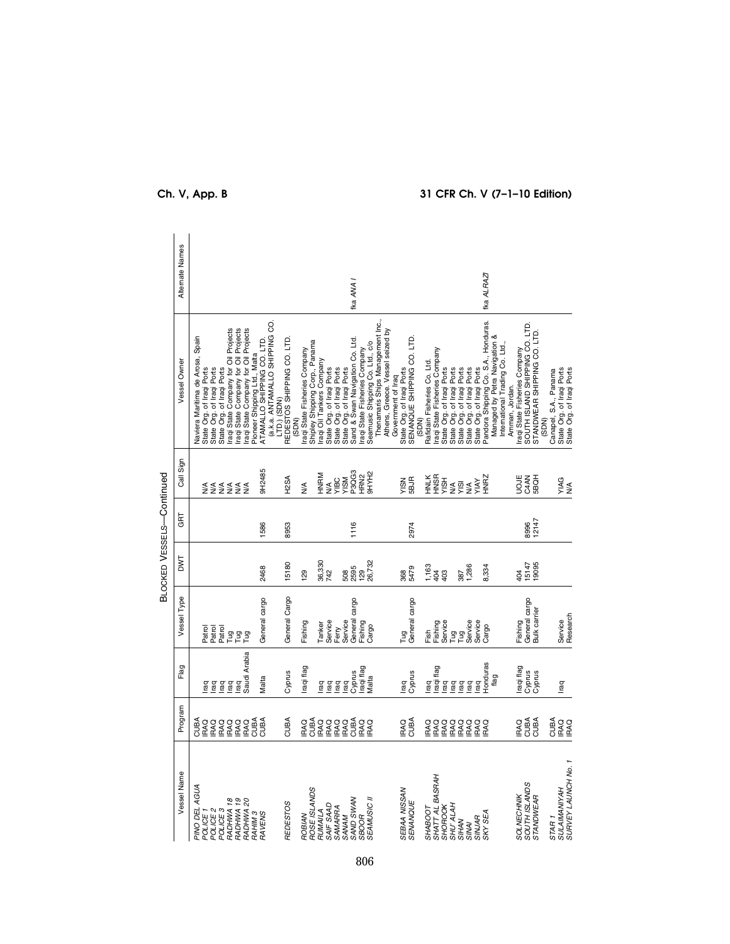| SHATT AL BASRAH<br>ROSE ISLANDS<br>SEBAA NISSAN<br><b>SEAMUSIC II</b><br>SAND SWAN<br>SBOOR<br>RADHWA 18<br>RADHWA 19<br>RADHWA 20<br>SENANQUE<br><b>REDESTOS</b><br>SAIF SAAD<br>SHU' ALAH<br>SHOROOK<br>SAMARRA<br><b>SHABOOT</b><br>POLICE 2<br>POLICE 3<br>RUMAILA<br>RAHIM 3<br>RAVENS | Program<br>CUBA<br>CUBA<br><b>RAQ</b><br>CUBA<br>CUBA<br>CUBA<br>CUBA<br>CUBA<br>IRAQ<br>IRAQ<br>RAQ<br>RAQ<br><b>RAQ</b><br><b>IRAQ</b><br><b>IRAQ</b><br><b>IRAQ</b><br>RAQ<br><b>IRAQ</b><br><b>IRAQ</b><br>IRAQ<br>KAQ<br><b>IRAQ</b><br>RAQ<br>RAQ | Saudi Arabia<br>Flag<br>Iraqi flag<br>raqi flag<br>raqi flag<br>Cyprus<br>Cyprus<br>Cyprus<br><b>Aalta</b><br>Malta<br>raq<br>lrag<br>raq<br>l'aq<br>Iraq<br>raq<br>raq<br>l'ag<br>lraq<br>raq<br>lraq<br>lraq | Vessel Type<br>General Cargo<br>General cargo<br>General cargo<br>General cargo<br>Service<br>Service<br>Fishing<br>Service<br>Fishing<br>Tanker<br>Fishing<br>Cargo<br>Ferry<br>Patrol<br>Patrol<br>Patrol<br>Fish<br>日に日<br>Tug | DWT<br>36,330<br>742<br>26,732<br>15180<br>2595<br>129<br>2468<br>1,163<br>404<br>403<br>5479<br>508<br>129<br>368 | GRT<br>1586<br>8953<br>1116<br>2974 | Call Sign<br>9H2485<br>P3QG3<br>HRN2<br>9HYH2<br>HNRM<br>HNA<br>HNA<br>HNA<br>HNA<br>H <sub>2</sub> SA<br><b>VISM</b><br>YIBC<br>5BJR<br><b>NSIA</b><br>$\frac{4}{2}$<br>$\frac{1}{2}$<br>22222 | Thenamaris Ships Management Inc.,<br>(a.k.a. ANTAMALLO SHIPPING CO.<br>raqi State Company for Oil Projects<br>raqi State Company for Oil Projects<br>raqi State Company for Oil Projects<br>Athens, Greece. Vessel seized by<br>State Org. of Iraqi Ports<br>SENANQUE SHIPPING CO. LTD.<br>Vaviera Maritima de Arosa, Spain<br>REDESTOS SHIPPING CO. LTD.<br>Sand & Swan Navigation Co. Ltd.<br>ATAMALLO SHIPPING CO. LTD.<br>Shipley Shipping Corp., Panama<br>Seamusic Shipping Co. Ltd., c/o<br>raqi State Fisheries Company<br>Iraqi State Fisheries Company<br>Iraqi State Fisheries Company<br>Pioneer Shipping Ltd., Malta<br>raqi Oil Tankers Company<br>Vessel Owner<br>Rafidain Fisheries Co. Ltd.<br>State Org. of Iraqi Ports<br>State Org. of Iraqi Ports<br>State Org. of Iraqi Ports<br>State Org. of Iraqi Ports<br>State Org. of Iraqi Ports<br>State Org. of Iraqi Ports<br>State Org. of Iraqi Ports<br>Government of Iraq<br>LTD.) (SDN)<br>(SDN)<br>(SDN) | Alternate Names<br>fka ANA I |
|---------------------------------------------------------------------------------------------------------------------------------------------------------------------------------------------------------------------------------------------------------------------------------------------|---------------------------------------------------------------------------------------------------------------------------------------------------------------------------------------------------------------------------------------------------------|----------------------------------------------------------------------------------------------------------------------------------------------------------------------------------------------------------------|-----------------------------------------------------------------------------------------------------------------------------------------------------------------------------------------------------------------------------------|--------------------------------------------------------------------------------------------------------------------|-------------------------------------|-------------------------------------------------------------------------------------------------------------------------------------------------------------------------------------------------|--------------------------------------------------------------------------------------------------------------------------------------------------------------------------------------------------------------------------------------------------------------------------------------------------------------------------------------------------------------------------------------------------------------------------------------------------------------------------------------------------------------------------------------------------------------------------------------------------------------------------------------------------------------------------------------------------------------------------------------------------------------------------------------------------------------------------------------------------------------------------------------------------------------------------------------------------------------------------------|------------------------------|
| SURVEY LAUNCH No. 1<br>SOUTH ISLANDS                                                                                                                                                                                                                                                        | CUBA<br>CUBA<br>CUBA<br><b>IRAQ</b><br><b>IRAQ</b><br><b>IRAQ</b><br>RAQ<br>RAQ<br>RAQ<br>RAQ<br>RAQ                                                                                                                                                    | Honduras<br>raqi flag<br>Cyprus<br>Cyprus<br>flag<br>lraq<br>lraq<br>lraq<br>l rag<br><b>Iraq</b>                                                                                                              | General cargo<br>Bulk carrier<br>Service<br>Research<br>aaiwa<br>Barie<br>Serie<br>Service<br>Fishing<br>Cargo                                                                                                                    | 15147<br>19095<br>1,286<br>8,334<br>387<br>404                                                                     | 12147<br>8996                       | <b>UOJE</b><br><b>HNRZ</b><br>C4AN<br>5BQH<br>YIAG<br>YIAY<br>$\frac{1}{2}$<br>$\frac{1}{2}$<br>$\frac{4}{2}$<br>$\frac{4}{2}$                                                                  | Pandora Shipping Co. S.A., Honduras.<br>SOUTH ISLAND SHIPPING CO. LTD.<br>STANDWEAR SHIPPING CO. LTD.<br>Managed by Petra Navigation &<br>International Trading Co. Ltd.<br>raqi State Fisheries Company<br>State Org. of Iraqi Ports<br>State Org. of Iraqi Ports<br>State Org. of Iraqi Ports<br>State Org. of Iraqi Ports<br>State Org. of Iraqi Ports<br>State Org. of Iraqi Ports<br>Canapel, S.A., Panama<br>Amman, Jordan.<br>(SDN)                                                                                                                                                                                                                                                                                                                                                                                                                                                                                                                                     | fka ALRAZI                   |

# **Ch. V, App. B 31 CFR Ch. V (7–1–10 Edition)**